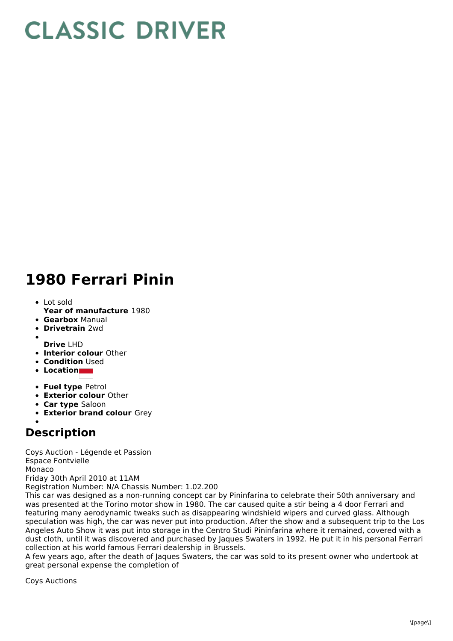## **CLASSIC DRIVER**

## **1980 Ferrari Pinin**

- **Year of manufacture** 1980 Lot sold
- **Gearbox** Manual
- **Drivetrain** 2wd
- 
- **Drive** LHD
- **Interior colour** Other
- **Condition** Used
- **Location**
- **Fuel type** Petrol
- **Exterior colour** Other
- **Car type** Saloon
- **Exterior brand colour** Grey

## **Description**

Coys Auction - Légende et Passion Espace Fontvielle Monaco Friday 30th April 2010 at 11AM Registration Number: N/A Chassis Number: 1.02.200

This car was designed as a non-running concept car by Pininfarina to celebrate their 50th anniversary and was presented at the Torino motor show in 1980. The car caused quite a stir being a 4 door Ferrari and featuring many aerodynamic tweaks such as disappearing windshield wipers and curved glass. Although speculation was high, the car was never put into production. After the show and a subsequent trip to the Los Angeles Auto Show it was put into storage in the Centro Studi Pininfarina where it remained, covered with a dust cloth, until it was discovered and purchased by Jaques Swaters in 1992. He put it in his personal Ferrari collection at his world famous Ferrari dealership in Brussels.

A few years ago, after the death of Jaques Swaters, the car was sold to its present owner who undertook at great personal expense the completion of

Coys Auctions